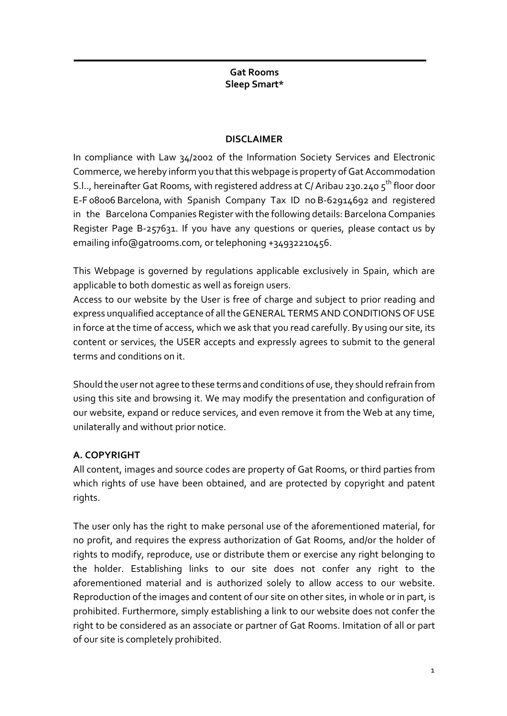#### **Gat Rooms Sleep Smart\***

### **DISCLAIMER**

In compliance with Law 34/2002 of the Information Society Services and Electronic Commerce, we hereby inform you that this webpage is property of Gat Accommodation S.l.., hereinafter Gat Rooms, with registered address at C/ Aribau 230.240 5<sup>th</sup> floor door E-F 08006 Barcelona, with Spanish Company Tax ID no B-62914692 and registered in the Barcelona Companies Register with the following details: Barcelona Companies Register Page B-257631. If you have any questions or queries, please contact us by emailing info@gatrooms.com, or telephoning +34932210456.

This Webpage is governed by regulations applicable exclusively in Spain, which are applicable to both domestic as well as foreign users.

Access to our website by the User is free of charge and subject to prior reading and express unqualified acceptance of all the GENERAL TERMS AND CONDITIONS OF USE in force at the time of access, which we ask that you read carefully. By using our site, its content or services, the USER accepts and expressly agrees to submit to the general terms and conditions on it.

Should the user not agree to these terms and conditions of use, they should refrain from using this site and browsing it. We may modify the presentation and configuration of our website, expand or reduce services, and even remove it from the Web at any time, unilaterally and without prior notice.

# **A. COPYRIGHT**

All content, images and source codes are property of Gat Rooms, or third parties from which rights of use have been obtained, and are protected by copyright and patent rights.

The user only has the right to make personal use of the aforementioned material, for no profit, and requires the express authorization of Gat Rooms, and/or the holder of rights to modify, reproduce, use or distribute them or exercise any right belonging to the holder. Establishing links to our site does not confer any right to the aforementioned material and is authorized solely to allow access to our website. Reproduction of the images and content of our site on other sites, in whole or in part, is prohibited. Furthermore, simply establishing a link to our website does not confer the right to be considered as an associate or partner of Gat Rooms. Imitation of all or part of our site is completely prohibited.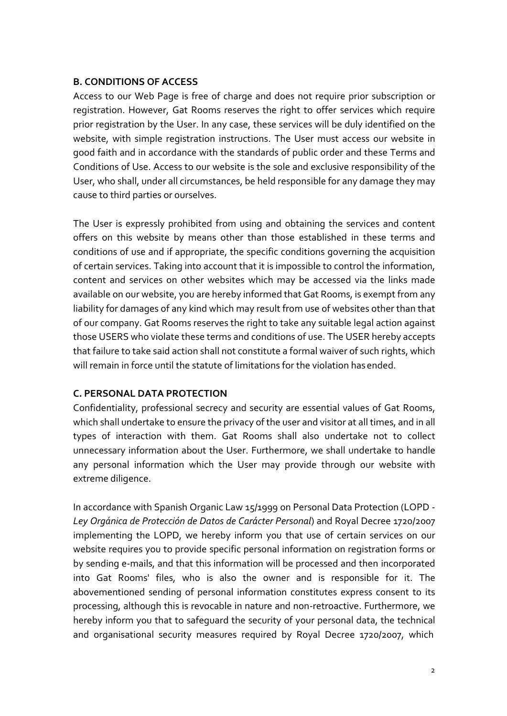#### **B. CONDITIONS OF ACCESS**

Access to our Web Page is free of charge and does not require prior subscription or registration. However, Gat Rooms reserves the right to offer services which require prior registration by the User. In any case, these services will be duly identified on the website, with simple registration instructions. The User must access our website in good faith and in accordance with the standards of public order and these Terms and Conditions of Use. Access to our website is the sole and exclusive responsibility of the User, who shall, under all circumstances, be held responsible for any damage they may cause to third parties or ourselves.

The User is expressly prohibited from using and obtaining the services and content offers on this website by means other than those established in these terms and conditions of use and if appropriate, the specific conditions governing the acquisition of certain services. Taking into account that it is impossible to control the information, content and services on other websites which may be accessed via the links made available on our website, you are hereby informed that Gat Rooms, is exempt from any liability for damages of any kind which may result from use of websites other than that of our company. Gat Rooms reserves the right to take any suitable legal action against those USERS who violate these terms and conditions of use. The USER hereby accepts that failure to take said action shall not constitute a formal waiver of such rights, which will remain in force until the statute of limitations for the violation has ended.

### **C. PERSONAL DATA PROTECTION**

Confidentiality, professional secrecy and security are essential values of Gat Rooms, which shall undertake to ensure the privacy of the user and visitor at all times, and in all types of interaction with them. Gat Rooms shall also undertake not to collect unnecessary information about the User. Furthermore, we shall undertake to handle any personal information which the User may provide through our website with extreme diligence.

In accordance with Spanish Organic Law 15/1999 on Personal Data Protection (LOPD - *Ley Orgánica de Protección de Datos de Carácter Personal*) and Royal Decree 1720/2007 implementing the LOPD, we hereby inform you that use of certain services on our website requires you to provide specific personal information on registration forms or by sending e-mails, and that this information will be processed and then incorporated into Gat Rooms' files, who is also the owner and is responsible for it. The abovementioned sending of personal information constitutes express consent to its processing, although this is revocable in nature and non-retroactive. Furthermore, we hereby inform you that to safeguard the security of your personal data, the technical and organisational security measures required by Royal Decree 1720/2007, which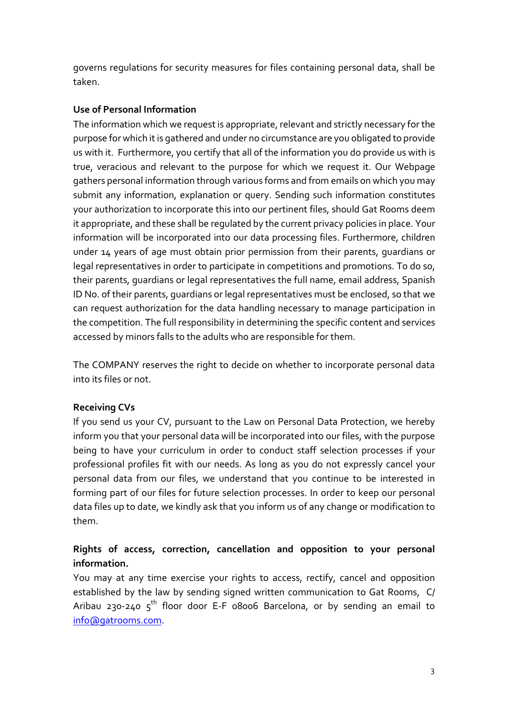governs regulations for security measures for files containing personal data, shall be taken.

### **Use of Personal Information**

The information which we request is appropriate, relevant and strictly necessary for the purpose for which it is gathered and under no circumstance are you obligated to provide us with it. Furthermore, you certify that all of the information you do provide us with is true, veracious and relevant to the purpose for which we request it. Our Webpage gathers personal information through various forms and from emails on which you may submit any information, explanation or query. Sending such information constitutes your authorization to incorporate this into our pertinent files, should Gat Rooms deem it appropriate, and these shall be regulated by the current privacy policies in place. Your information will be incorporated into our data processing files. Furthermore, children under 14 years of age must obtain prior permission from their parents, guardians or legal representatives in order to participate in competitions and promotions. To do so, their parents, guardians or legal representatives the full name, email address, Spanish ID No. of their parents, guardians or legal representatives must be enclosed, so that we can request authorization for the data handling necessary to manage participation in the competition. The full responsibility in determining the specific content and services accessed by minors falls to the adults who are responsible for them.

The COMPANY reserves the right to decide on whether to incorporate personal data into its files or not.

### **Receiving CVs**

If you send us your CV, pursuant to the Law on Personal Data Protection, we hereby inform you that your personal data will be incorporated into our files, with the purpose being to have your curriculum in order to conduct staff selection processes if your professional profiles fit with our needs. As long as you do not expressly cancel your personal data from our files, we understand that you continue to be interested in forming part of our files for future selection processes. In order to keep our personal data files up to date, we kindly ask that you inform us of any change or modification to them.

# **Rights of access, correction, cancellation and opposition to your personal information.**

You may at any time exercise your rights to access, rectify, cancel and opposition established by the law by sending signed written communication to Gat Rooms, C/ Aribau 230-240  $5<sup>th</sup>$  floor door E-F 08006 Barcelona, or by sending an email to info@gatrooms.com.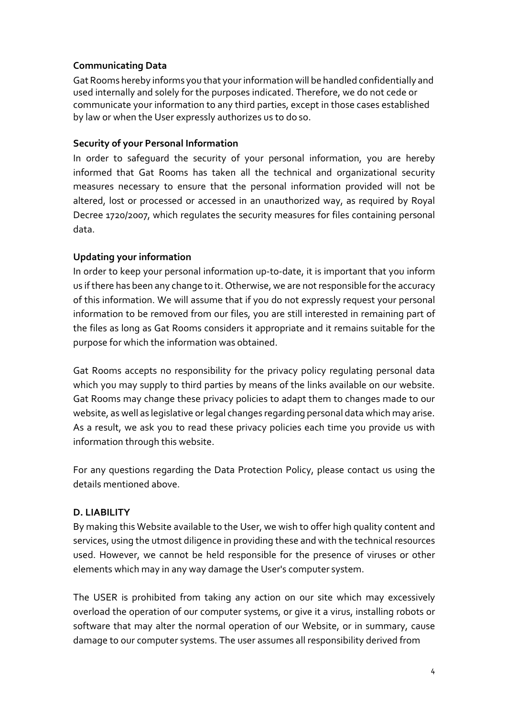## **Communicating Data**

Gat Rooms hereby informs you that yourinformation will be handled confidentially and used internally and solely for the purposes indicated. Therefore, we do not cede or communicate your information to any third parties, except in those cases established by law or when the User expressly authorizes us to do so.

#### **Security of your Personal Information**

In order to safeguard the security of your personal information, you are hereby informed that Gat Rooms has taken all the technical and organizational security measures necessary to ensure that the personal information provided will not be altered, lost or processed or accessed in an unauthorized way, as required by Royal Decree 1720/2007, which regulates the security measures for files containing personal data.

### **Updating your information**

In order to keep your personal information up-to-date, it is important that you inform us ifthere has been any change to it. Otherwise, we are notresponsible forthe accuracy of this information. We will assume that if you do not expressly request your personal information to be removed from our files, you are still interested in remaining part of the files as long as Gat Rooms considers it appropriate and it remains suitable for the purpose for which the information was obtained.

Gat Rooms accepts no responsibility for the privacy policy regulating personal data which you may supply to third parties by means of the links available on our website. Gat Rooms may change these privacy policies to adapt them to changes made to our website, as well as legislative or legal changes regarding personal data which may arise. As a result, we ask you to read these privacy policies each time you provide us with information through this website.

For any questions regarding the Data Protection Policy, please contact us using the details mentioned above.

### **D. LIABILITY**

By making this Website available to the User, we wish to offer high quality content and services, using the utmost diligence in providing these and with the technical resources used. However, we cannot be held responsible for the presence of viruses or other elements which may in any way damage the User's computer system.

The USER is prohibited from taking any action on our site which may excessively overload the operation of our computer systems, or give it a virus, installing robots or software that may alter the normal operation of our Website, or in summary, cause damage to our computer systems. The user assumes all responsibility derived from